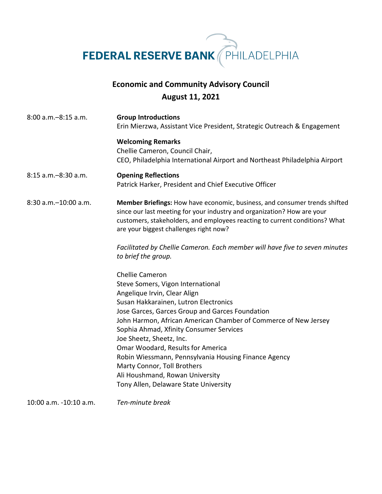**FEDERAL RESERVE BANK** PHILADELPHIA

## **Economic and Community Advisory Council August 11, 2021**

8:00 a.m.–8:15 a.m. **Group Introductions** Erin Mierzwa, Assistant Vice President, Strategic Outreach & Engagement **Welcoming Remarks** Chellie Cameron, Council Chair, CEO, Philadelphia International Airport and Northeast Philadelphia Airport 8:15 a.m.–8:30 a.m. **Opening Reflections**  Patrick Harker, President and Chief Executive Officer 8:30 a.m.–10:00 a.m. **Member Briefings:** How have economic, business, and consumer trends shifted since our last meeting for your industry and organization? How are your customers, stakeholders, and employees reacting to current conditions? What are your biggest challenges right now? *Facilitated by Chellie Cameron. Each member will have five to seven minutes to brief the group.* Chellie Cameron Steve Somers, Vigon International Angelique Irvin, Clear Align Susan Hakkarainen, Lutron Electronics Jose Garces, Garces Group and Garces Foundation John Harmon, African American Chamber of Commerce of New Jersey Sophia Ahmad, Xfinity Consumer Services Joe Sheetz, Sheetz, Inc. Omar Woodard, Results for America Robin Wiessmann, Pennsylvania Housing Finance Agency Marty Connor, Toll Brothers Ali Houshmand, Rowan University Tony Allen, Delaware State University

10:00 a.m. -10:10 a.m. *Ten-minute break*